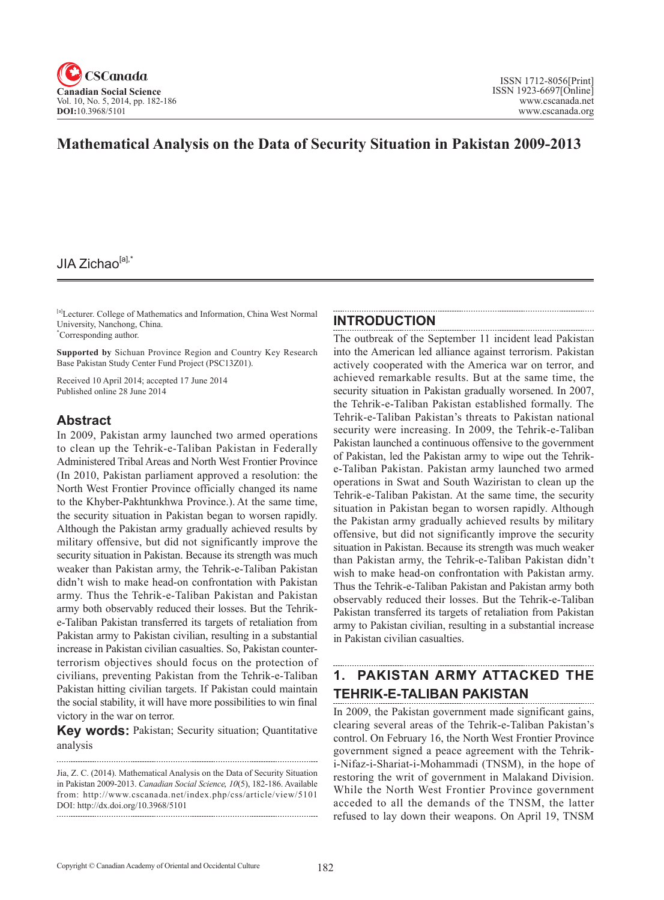

## **Mathematical Analysis on the Data of Security Situation in Pakistan 2009-2013**

## JIA Zichao $[a]$ ,

[a]Lecturer. College of Mathematics and Information, China West Normal University, Nanchong, China. \* Corresponding author.

**Supported by** Sichuan Province Region and Country Key Research Base Pakistan Study Center Fund Project (PSC13Z01).

Received 10 April 2014; accepted 17 June 2014 Published online 28 June 2014

### **Abstract**

In 2009, Pakistan army launched two armed operations to clean up the Tehrik-e-Taliban Pakistan in Federally Administered Tribal Areas and North West Frontier Province (In 2010, Pakistan parliament approved a resolution: the North West Frontier Province officially changed its name to the Khyber-Pakhtunkhwa Province.). At the same time, the security situation in Pakistan began to worsen rapidly. Although the Pakistan army gradually achieved results by military offensive, but did not significantly improve the security situation in Pakistan. Because its strength was much weaker than Pakistan army, the Tehrik-e-Taliban Pakistan didn't wish to make head-on confrontation with Pakistan army. Thus the Tehrik-e-Taliban Pakistan and Pakistan army both observably reduced their losses. But the Tehrike-Taliban Pakistan transferred its targets of retaliation from Pakistan army to Pakistan civilian, resulting in a substantial increase in Pakistan civilian casualties. So, Pakistan counterterrorism objectives should focus on the protection of civilians, preventing Pakistan from the Tehrik-e-Taliban Pakistan hitting civilian targets. If Pakistan could maintain the social stability, it will have more possibilities to win final victory in the war on terror.

**Key words:** Pakistan; Security situation; Quantitative analysis

### **INTRODUCTION**

The outbreak of the September 11 incident lead Pakistan into the American led alliance against terrorism. Pakistan actively cooperated with the America war on terror, and achieved remarkable results. But at the same time, the security situation in Pakistan gradually worsened. In 2007, the Tehrik-e-Taliban Pakistan established formally. The Tehrik-e-Taliban Pakistan's threats to Pakistan national security were increasing. In 2009, the Tehrik-e-Taliban Pakistan launched a continuous offensive to the government of Pakistan, led the Pakistan army to wipe out the Tehrike-Taliban Pakistan. Pakistan army launched two armed operations in Swat and South Waziristan to clean up the Tehrik-e-Taliban Pakistan. At the same time, the security situation in Pakistan began to worsen rapidly. Although the Pakistan army gradually achieved results by military offensive, but did not significantly improve the security situation in Pakistan. Because its strength was much weaker than Pakistan army, the Tehrik-e-Taliban Pakistan didn't wish to make head-on confrontation with Pakistan army. Thus the Tehrik-e-Taliban Pakistan and Pakistan army both observably reduced their losses. But the Tehrik-e-Taliban Pakistan transferred its targets of retaliation from Pakistan army to Pakistan civilian, resulting in a substantial increase in Pakistan civilian casualties.

# **1. PAKISTAN ARMY ATTACKED THE TEHRIK-E-TALIBAN PAKISTAN**

In 2009, the Pakistan government made significant gains, clearing several areas of the Tehrik-e-Taliban Pakistan's control. On February 16, the North West Frontier Province government signed a peace agreement with the Tehriki-Nifaz-i-Shariat-i-Mohammadi (TNSM), in the hope of restoring the writ of government in Malakand Division. While the North West Frontier Province government acceded to all the demands of the TNSM, the latter refused to lay down their weapons. On April 19, TNSM

Jia, Z. C. (2014). Mathematical Analysis on the Data of Security Situation in Pakistan 2009-2013. *Canadian Social Science*, <sup>10</sup>(5), 182-186. Available from: http://www.cscanada.net/index.php/css/article/view/5101 DOI: http://dx.doi.org/10.3968/5101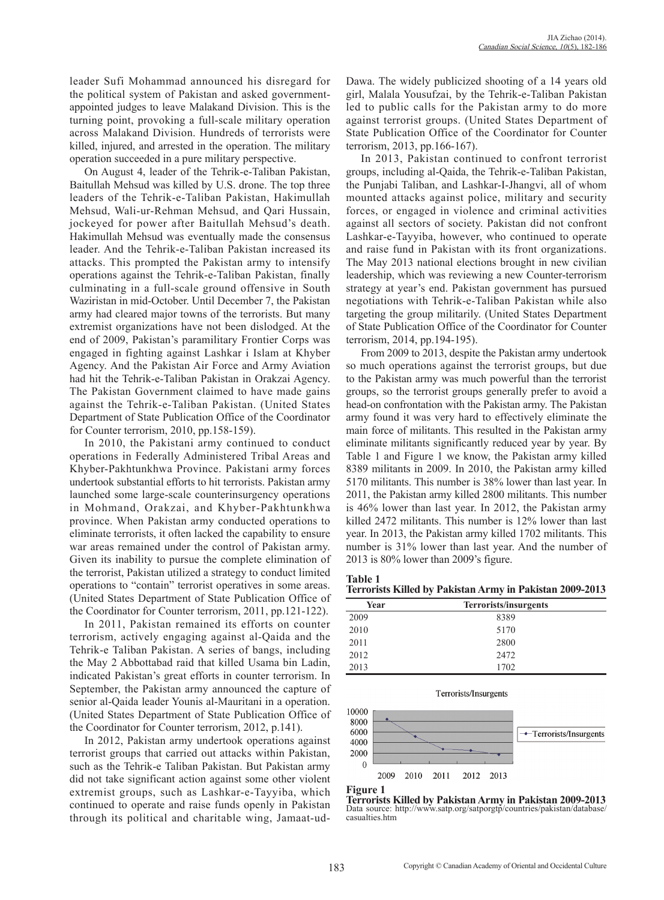leader Sufi Mohammad announced his disregard for the political system of Pakistan and asked governmentappointed judges to leave Malakand Division. This is the turning point, provoking a full-scale military operation across Malakand Division. Hundreds of terrorists were killed, injured, and arrested in the operation. The military operation succeeded in a pure military perspective.

On August 4, leader of the Tehrik-e-Taliban Pakistan, Baitullah Mehsud was killed by U.S. drone. The top three leaders of the Tehrik-e-Taliban Pakistan, Hakimullah Mehsud, Wali-ur-Rehman Mehsud, and Qari Hussain, jockeyed for power after Baitullah Mehsud's death. Hakimullah Mehsud was eventually made the consensus leader. And the Tehrik-e-Taliban Pakistan increased its attacks. This prompted the Pakistan army to intensify operations against the Tehrik-e-Taliban Pakistan, finally culminating in a full-scale ground offensive in South Waziristan in mid-October. Until December 7, the Pakistan army had cleared major towns of the terrorists. But many extremist organizations have not been dislodged. At the end of 2009, Pakistan's paramilitary Frontier Corps was engaged in fighting against Lashkar i Islam at Khyber Agency. And the Pakistan Air Force and Army Aviation had hit the Tehrik-e-Taliban Pakistan in Orakzai Agency. The Pakistan Government claimed to have made gains against the Tehrik-e-Taliban Pakistan. (United States Department of State Publication Office of the Coordinator for Counter terrorism, 2010, pp.158-159).

In 2010, the Pakistani army continued to conduct operations in Federally Administered Tribal Areas and Khyber-Pakhtunkhwa Province. Pakistani army forces undertook substantial efforts to hit terrorists. Pakistan army launched some large-scale counterinsurgency operations in Mohmand, Orakzai, and Khyber-Pakhtunkhwa province. When Pakistan army conducted operations to eliminate terrorists, it often lacked the capability to ensure war areas remained under the control of Pakistan army. Given its inability to pursue the complete elimination of the terrorist, Pakistan utilized a strategy to conduct limited operations to "contain" terrorist operatives in some areas. (United States Department of State Publication Office of the Coordinator for Counter terrorism, 2011, pp.121-122).

In 2011, Pakistan remained its efforts on counter terrorism, actively engaging against al-Qaida and the Tehrik-e Taliban Pakistan. A series of bangs, including the May 2 Abbottabad raid that killed Usama bin Ladin, indicated Pakistan's great efforts in counter terrorism. In September, the Pakistan army announced the capture of senior al-Qaida leader Younis al-Mauritani in a operation. (United States Department of State Publication Office of the Coordinator for Counter terrorism, 2012, p.141).

In 2012, Pakistan army undertook operations against terrorist groups that carried out attacks within Pakistan, such as the Tehrik-e Taliban Pakistan. But Pakistan army did not take significant action against some other violent extremist groups, such as Lashkar-e-Tayyiba, which continued to operate and raise funds openly in Pakistan through its political and charitable wing, Jamaat-udDawa. The widely publicized shooting of a 14 years old girl, Malala Yousufzai, by the Tehrik-e-Taliban Pakistan led to public calls for the Pakistan army to do more against terrorist groups. (United States Department of State Publication Office of the Coordinator for Counter terrorism, 2013, pp.166-167).

In 2013, Pakistan continued to confront terrorist groups, including al-Qaida, the Tehrik-e-Taliban Pakistan, the Punjabi Taliban, and Lashkar-I-Jhangvi, all of whom mounted attacks against police, military and security forces, or engaged in violence and criminal activities against all sectors of society. Pakistan did not confront Lashkar-e-Tayyiba, however, who continued to operate and raise fund in Pakistan with its front organizations. The May 2013 national elections brought in new civilian leadership, which was reviewing a new Counter-terrorism strategy at year's end. Pakistan government has pursued negotiations with Tehrik-e-Taliban Pakistan while also targeting the group militarily. (United States Department of State Publication Office of the Coordinator for Counter terrorism, 2014, pp.194-195).

From 2009 to 2013, despite the Pakistan army undertook so much operations against the terrorist groups, but due to the Pakistan army was much powerful than the terrorist groups, so the terrorist groups generally prefer to avoid a head-on confrontation with the Pakistan army. The Pakistan army found it was very hard to effectively eliminate the main force of militants. This resulted in the Pakistan army eliminate militants significantly reduced year by year. By Table 1 and Figure 1 we know, the Pakistan army killed 8389 militants in 2009. In 2010, the Pakistan army killed 5170 militants. This number is 38% lower than last year. In 2011, the Pakistan army killed 2800 militants. This number is 46% lower than last year. In 2012, the Pakistan army killed 2472 militants. This number is 12% lower than last year. In 2013, the Pakistan army killed 1702 militants. This number is 31% lower than last year. And the number of 2013 is 80% lower than 2009's figure.

**Table 1 Terrorists Killed by Pakistan Army in Pakistan 2009-2013**

|      | .<br>.                |
|------|-----------------------|
| Year | Terrorists/insurgents |
| 2009 | 8389                  |
| 2010 | 5170                  |
| 2011 | 2800                  |
| 2012 | 2472                  |
| 2013 | 1702                  |





**Figure 1** 

**Terrorists Killed by Pakistan Army in Pakistan 2009-2013** Data source: http://www.satp.org/satporgtp/countries/pakistan/database/ casualties.htm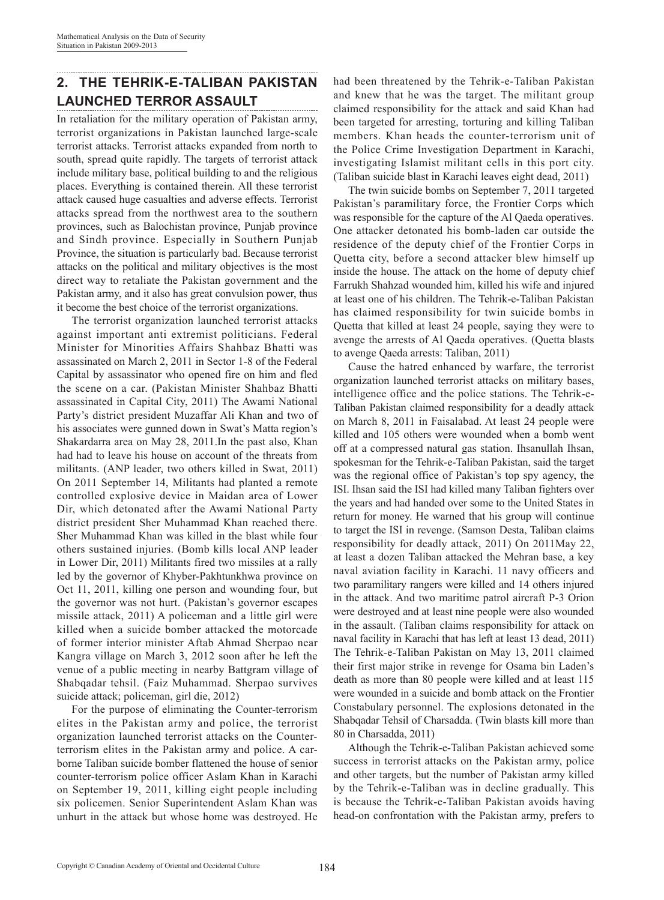## **2. THE TEHRIK-E-TALIBAN PAKISTAN LAUNCHED TERROR ASSAULT**

In retaliation for the military operation of Pakistan army, terrorist organizations in Pakistan launched large-scale terrorist attacks. Terrorist attacks expanded from north to south, spread quite rapidly. The targets of terrorist attack include military base, political building to and the religious places. Everything is contained therein. All these terrorist attack caused huge casualties and adverse effects. Terrorist attacks spread from the northwest area to the southern provinces, such as Balochistan province, Punjab province and Sindh province. Especially in Southern Punjab Province, the situation is particularly bad. Because terrorist attacks on the political and military objectives is the most direct way to retaliate the Pakistan government and the Pakistan army, and it also has great convulsion power, thus it become the best choice of the terrorist organizations.

The terrorist organization launched terrorist attacks against important anti extremist politicians. Federal Minister for Minorities Affairs Shahbaz Bhatti was assassinated on March 2, 2011 in Sector 1-8 of the Federal Capital by assassinator who opened fire on him and fled the scene on a car. (Pakistan Minister Shahbaz Bhatti assassinated in Capital City, 2011) The Awami National Party's district president Muzaffar Ali Khan and two of his associates were gunned down in Swat's Matta region's Shakardarra area on May 28, 2011.In the past also, Khan had had to leave his house on account of the threats from militants. (ANP leader, two others killed in Swat, 2011) On 2011 September 14, Militants had planted a remote controlled explosive device in Maidan area of Lower Dir, which detonated after the Awami National Party district president Sher Muhammad Khan reached there. Sher Muhammad Khan was killed in the blast while four others sustained injuries. (Bomb kills local ANP leader in Lower Dir, 2011) Militants fired two missiles at a rally led by the governor of Khyber-Pakhtunkhwa province on Oct 11, 2011, killing one person and wounding four, but the governor was not hurt. (Pakistan's governor escapes missile attack, 2011) A policeman and a little girl were killed when a suicide bomber attacked the motorcade of former interior minister Aftab Ahmad Sherpao near Kangra village on March 3, 2012 soon after he left the venue of a public meeting in nearby Battgram village of Shabqadar tehsil. (Faiz Muhammad. Sherpao survives suicide attack; policeman, girl die, 2012)

For the purpose of eliminating the Counter-terrorism elites in the Pakistan army and police, the terrorist organization launched terrorist attacks on the Counterterrorism elites in the Pakistan army and police. A carborne Taliban suicide bomber flattened the house of senior counter-terrorism police officer Aslam Khan in Karachi on September 19, 2011, killing eight people including six policemen. Senior Superintendent Aslam Khan was unhurt in the attack but whose home was destroyed. He had been threatened by the Tehrik-e-Taliban Pakistan and knew that he was the target. The militant group claimed responsibility for the attack and said Khan had been targeted for arresting, torturing and killing Taliban members. Khan heads the counter-terrorism unit of the Police Crime Investigation Department in Karachi, investigating Islamist militant cells in this port city. (Taliban suicide blast in Karachi leaves eight dead, 2011)

The twin suicide bombs on September 7, 2011 targeted Pakistan's paramilitary force, the Frontier Corps which was responsible for the capture of the Al Qaeda operatives. One attacker detonated his bomb-laden car outside the residence of the deputy chief of the Frontier Corps in Quetta city, before a second attacker blew himself up inside the house. The attack on the home of deputy chief Farrukh Shahzad wounded him, killed his wife and injured at least one of his children. The Tehrik-e-Taliban Pakistan has claimed responsibility for twin suicide bombs in Quetta that killed at least 24 people, saying they were to avenge the arrests of Al Qaeda operatives. (Quetta blasts to avenge Qaeda arrests: Taliban, 2011)

Cause the hatred enhanced by warfare, the terrorist organization launched terrorist attacks on military bases, intelligence office and the police stations. The Tehrik-e-Taliban Pakistan claimed responsibility for a deadly attack on March 8, 2011 in Faisalabad. At least 24 people were killed and 105 others were wounded when a bomb went off at a compressed natural gas station. Ihsanullah Ihsan, spokesman for the Tehrik-e-Taliban Pakistan, said the target was the regional office of Pakistan's top spy agency, the ISI. Ihsan said the ISI had killed many Taliban fighters over the years and had handed over some to the United States in return for money. He warned that his group will continue to target the ISI in revenge. (Samson Desta, Taliban claims responsibility for deadly attack, 2011) On 2011May 22, at least a dozen Taliban attacked the Mehran base, a key naval aviation facility in Karachi. 11 navy officers and two paramilitary rangers were killed and 14 others injured in the attack. And two maritime patrol aircraft P-3 Orion were destroyed and at least nine people were also wounded in the assault. (Taliban claims responsibility for attack on naval facility in Karachi that has left at least 13 dead, 2011) The Tehrik-e-Taliban Pakistan on May 13, 2011 claimed their first major strike in revenge for Osama bin Laden's death as more than 80 people were killed and at least 115 were wounded in a suicide and bomb attack on the Frontier Constabulary personnel. The explosions detonated in the Shabqadar Tehsil of Charsadda. (Twin blasts kill more than 80 in Charsadda, 2011)

Although the Tehrik-e-Taliban Pakistan achieved some success in terrorist attacks on the Pakistan army, police and other targets, but the number of Pakistan army killed by the Tehrik-e-Taliban was in decline gradually. This is because the Tehrik-e-Taliban Pakistan avoids having head-on confrontation with the Pakistan army, prefers to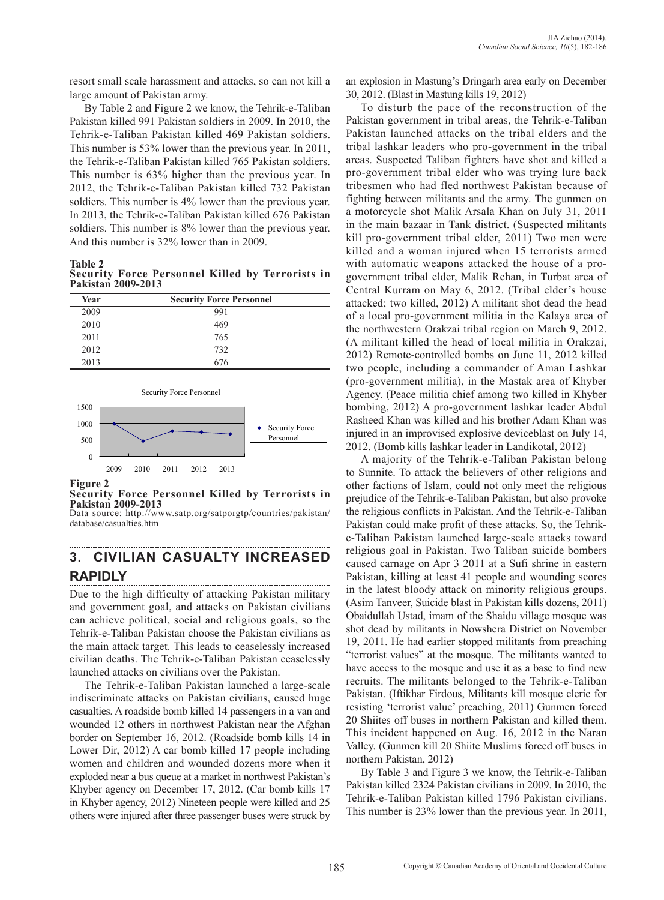resort small scale harassment and attacks, so can not kill a large amount of Pakistan army.

By Table 2 and Figure 2 we know, the Tehrik-e-Taliban Pakistan killed 991 Pakistan soldiers in 2009. In 2010, the Tehrik-e-Taliban Pakistan killed 469 Pakistan soldiers. This number is 53% lower than the previous year. In 2011, the Tehrik-e-Taliban Pakistan killed 765 Pakistan soldiers. This number is 63% higher than the previous year. In 2012, the Tehrik-e-Taliban Pakistan killed 732 Pakistan soldiers. This number is 4% lower than the previous year. In 2013, the Tehrik-e-Taliban Pakistan killed 676 Pakistan soldiers. This number is  $8\%$  lower than the previous year. And this number is 32% lower than in 2009.

**Table 2 Security Force Personnel Killed by Terrorists in Pakistan 2009-2013**

| Year | <b>Security Force Personnel</b> |
|------|---------------------------------|
| 2009 | 991                             |
| 2010 | 469                             |
| 2011 | 765                             |
| 2012 | 732                             |
| 2013 | 676                             |



#### **Figure 2**

**Security Force Personnel Killed by Terrorists in Pakistan 2009-2013**

Data source: http://www.satp.org/satporgtp/countries/pakistan/ database/casualties.htm

#### **3. CIVILIAN CASUALTY INCREASED RAPIDLY**

Due to the high difficulty of attacking Pakistan military and government goal, and attacks on Pakistan civilians can achieve political, social and religious goals, so the Tehrik-e-Taliban Pakistan choose the Pakistan civilians as the main attack target. This leads to ceaselessly increased civilian deaths. The Tehrik-e-Taliban Pakistan ceaselessly launched attacks on civilians over the Pakistan.

The Tehrik-e-Taliban Pakistan launched a large-scale indiscriminate attacks on Pakistan civilians, caused huge casualties. A roadside bomb killed 14 passengers in a van and wounded 12 others in northwest Pakistan near the Afghan border on September 16, 2012. (Roadside bomb kills 14 in Lower Dir, 2012) A car bomb killed 17 people including women and children and wounded dozens more when it exploded near a bus queue at a market in northwest Pakistan's Khyber agency on December 17, 2012. (Car bomb kills 17 in Khyber agency, 2012) Nineteen people were killed and 25 others were injured after three passenger buses were struck by an explosion in Mastung's Dringarh area early on December 30, 2012. (Blast in Mastung kills 19, 2012)

To disturb the pace of the reconstruction of the Pakistan government in tribal areas, the Tehrik-e-Taliban Pakistan launched attacks on the tribal elders and the tribal lashkar leaders who pro-government in the tribal areas. Suspected Taliban fighters have shot and killed a pro-government tribal elder who was trying lure back tribesmen who had fled northwest Pakistan because of fighting between militants and the army. The gunmen on a motorcycle shot Malik Arsala Khan on July 31, 2011 in the main bazaar in Tank district. (Suspected militants kill pro-government tribal elder, 2011) Two men were killed and a woman injured when 15 terrorists armed with automatic weapons attacked the house of a progovernment tribal elder, Malik Rehan, in Turbat area of Central Kurram on May 6, 2012. (Tribal elder's house attacked; two killed, 2012) A militant shot dead the head of a local pro-government militia in the Kalaya area of the northwestern Orakzai tribal region on March 9, 2012. (A militant killed the head of local militia in Orakzai, 2012) Remote-controlled bombs on June 11, 2012 killed two people, including a commander of Aman Lashkar (pro-government militia), in the Mastak area of Khyber Agency. (Peace militia chief among two killed in Khyber bombing, 2012) A pro-government lashkar leader Abdul Rasheed Khan was killed and his brother Adam Khan was injured in an improvised explosive deviceblast on July 14, 2012. (Bomb kills lashkar leader in Landikotal, 2012)

A majority of the Tehrik-e-Taliban Pakistan belong to Sunnite. To attack the believers of other religions and other factions of Islam, could not only meet the religious prejudice of the Tehrik-e-Taliban Pakistan, but also provoke the religious conflicts in Pakistan. And the Tehrik-e-Taliban Pakistan could make profit of these attacks. So, the Tehrike-Taliban Pakistan launched large-scale attacks toward religious goal in Pakistan. Two Taliban suicide bombers caused carnage on Apr 3 2011 at a Sufi shrine in eastern Pakistan, killing at least 41 people and wounding scores in the latest bloody attack on minority religious groups. (Asim Tanveer, Suicide blast in Pakistan kills dozens, 2011) Obaidullah Ustad, imam of the Shaidu village mosque was shot dead by militants in Nowshera District on November 19, 2011. He had earlier stopped militants from preaching "terrorist values" at the mosque. The militants wanted to have access to the mosque and use it as a base to find new recruits. The militants belonged to the Tehrik-e-Taliban Pakistan. (Iftikhar Firdous, Militants kill mosque cleric for resisting 'terrorist value' preaching, 2011) Gunmen forced 20 Shiites off buses in northern Pakistan and killed them. This incident happened on Aug. 16, 2012 in the Naran Valley. (Gunmen kill 20 Shiite Muslims forced off buses in northern Pakistan, 2012)

By Table 3 and Figure 3 we know, the Tehrik-e-Taliban Pakistan killed 2324 Pakistan civilians in 2009. In 2010, the Tehrik-e-Taliban Pakistan killed 1796 Pakistan civilians. This number is 23% lower than the previous year. In 2011,